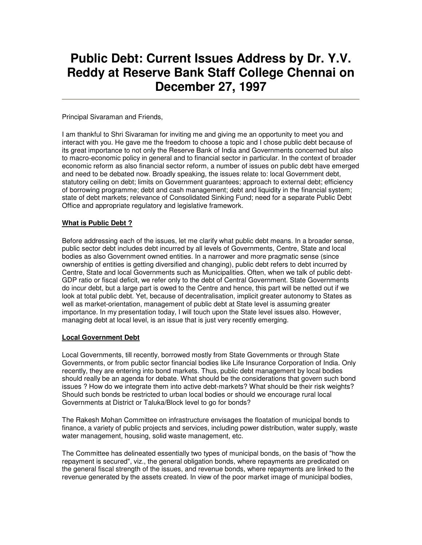# **Public Debt: Current Issues Address by Dr. Y.V. Reddy at Reserve Bank Staff College Chennai on December 27, 1997**

Principal Sivaraman and Friends,

I am thankful to Shri Sivaraman for inviting me and giving me an opportunity to meet you and interact with you. He gave me the freedom to choose a topic and I chose public debt because of its great importance to not only the Reserve Bank of India and Governments concerned but also to macro-economic policy in general and to financial sector in particular. In the context of broader economic reform as also financial sector reform, a number of issues on public debt have emerged and need to be debated now. Broadly speaking, the issues relate to: local Government debt, statutory ceiling on debt; limits on Government guarantees; approach to external debt; efficiency of borrowing programme; debt and cash management; debt and liquidity in the financial system; state of debt markets; relevance of Consolidated Sinking Fund; need for a separate Public Debt Office and appropriate regulatory and legislative framework.

# **What is Public Debt ?**

Before addressing each of the issues, let me clarify what public debt means. In a broader sense, public sector debt includes debt incurred by all levels of Governments, Centre, State and local bodies as also Government owned entities. In a narrower and more pragmatic sense (since ownership of entities is getting diversified and changing), public debt refers to debt incurred by Centre, State and local Governments such as Municipalities. Often, when we talk of public debt-GDP ratio or fiscal deficit, we refer only to the debt of Central Government. State Governments do incur debt, but a large part is owed to the Centre and hence, this part will be netted out if we look at total public debt. Yet, because of decentralisation, implicit greater autonomy to States as well as market-orientation, management of public debt at State level is assuming greater importance. In my presentation today, I will touch upon the State level issues also. However, managing debt at local level, is an issue that is just very recently emerging.

#### **Local Government Debt**

Local Governments, till recently, borrowed mostly from State Governments or through State Governments, or from public sector financial bodies like Life Insurance Corporation of India. Only recently, they are entering into bond markets. Thus, public debt management by local bodies should really be an agenda for debate. What should be the considerations that govern such bond issues ? How do we integrate them into active debt-markets? What should be their risk weights? Should such bonds be restricted to urban local bodies or should we encourage rural local Governments at District or Taluka/Block level to go for bonds?

The Rakesh Mohan Committee on infrastructure envisages the floatation of municipal bonds to finance, a variety of public projects and services, including power distribution, water supply, waste water management, housing, solid waste management, etc.

The Committee has delineated essentially two types of municipal bonds, on the basis of "how the repayment is secured", viz., the general obligation bonds, where repayments are predicated on the general fiscal strength of the issues, and revenue bonds, where repayments are linked to the revenue generated by the assets created. In view of the poor market image of municipal bodies,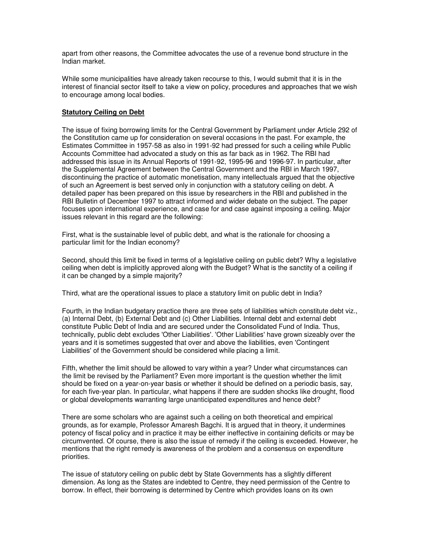apart from other reasons, the Committee advocates the use of a revenue bond structure in the Indian market.

While some municipalities have already taken recourse to this, I would submit that it is in the interest of financial sector itself to take a view on policy, procedures and approaches that we wish to encourage among local bodies.

#### **Statutory Ceiling on Debt**

The issue of fixing borrowing limits for the Central Government by Parliament under Article 292 of the Constitution came up for consideration on several occasions in the past. For example, the Estimates Committee in 1957-58 as also in 1991-92 had pressed for such a ceiling while Public Accounts Committee had advocated a study on this as far back as in 1962. The RBI had addressed this issue in its Annual Reports of 1991-92, 1995-96 and 1996-97. In particular, after the Supplemental Agreement between the Central Government and the RBI in March 1997, discontinuing the practice of automatic monetisation, many intellectuals argued that the objective of such an Agreement is best served only in conjunction with a statutory ceiling on debt. A detailed paper has been prepared on this issue by researchers in the RBI and published in the RBI Bulletin of December 1997 to attract informed and wider debate on the subject. The paper focuses upon international experience, and case for and case against imposing a ceiling. Major issues relevant in this regard are the following:

First, what is the sustainable level of public debt, and what is the rationale for choosing a particular limit for the Indian economy?

Second, should this limit be fixed in terms of a legislative ceiling on public debt? Why a legislative ceiling when debt is implicitly approved along with the Budget? What is the sanctity of a ceiling if it can be changed by a simple majority?

Third, what are the operational issues to place a statutory limit on public debt in India?

Fourth, in the Indian budgetary practice there are three sets of liabilities which constitute debt viz., (a) Internal Debt, (b) External Debt and (c) Other Liabilities. Internal debt and external debt constitute Public Debt of India and are secured under the Consolidated Fund of India. Thus, technically, public debt excludes 'Other Liabilities'. 'Other Liabilities' have grown sizeably over the years and it is sometimes suggested that over and above the liabilities, even 'Contingent Liabilities' of the Government should be considered while placing a limit.

Fifth, whether the limit should be allowed to vary within a year? Under what circumstances can the limit be revised by the Parliament? Even more important is the question whether the limit should be fixed on a year-on-year basis or whether it should be defined on a periodic basis, say, for each five-year plan. In particular, what happens if there are sudden shocks like drought, flood or global developments warranting large unanticipated expenditures and hence debt?

There are some scholars who are against such a ceiling on both theoretical and empirical grounds, as for example, Professor Amaresh Bagchi. It is argued that in theory, it undermines potency of fiscal policy and in practice it may be either ineffective in containing deficits or may be circumvented. Of course, there is also the issue of remedy if the ceiling is exceeded. However, he mentions that the right remedy is awareness of the problem and a consensus on expenditure priorities.

The issue of statutory ceiling on public debt by State Governments has a slightly different dimension. As long as the States are indebted to Centre, they need permission of the Centre to borrow. In effect, their borrowing is determined by Centre which provides loans on its own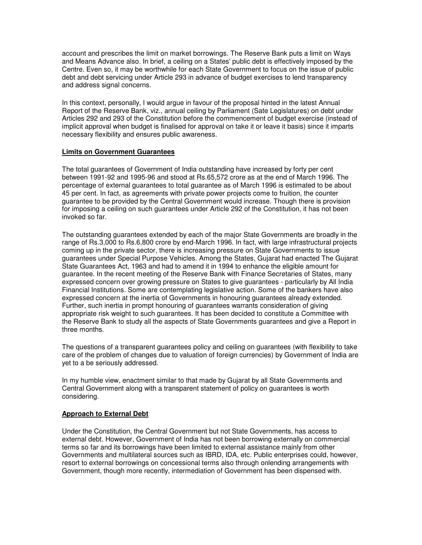account and prescribes the limit on market borrowings. The Reserve Bank puts a limit on Ways and Means Advance also. In brief, a ceiling on a States' public debt is effectively imposed by the Centre. Even so, it may be worthwhile for each State Government to focus on the issue of public debt and debt servicing under Article 293 in advance of budget exercises to lend transparency and address signal concerns.

In this context, personally, I would argue in favour of the proposal hinted in the latest Annual Report of the Reserve Bank, viz., annual ceiling by Parliament (Sate Legislatures) on debt under Articles 292 and 293 of the Constitution before the commencement of budget exercise (instead of implicit approval when budget is finalised for approval on take it or leave it basis) since it imparts necessary flexibility and ensures public awareness.

#### **Limits on Government Guarantees**

The total guarantees of Government of India outstanding have increased by forty per cent between 1991-92 and 1995-96 and stood at Rs.65,572 crore as at the end of March 1996. The percentage of external guarantees to total guarantee as of March 1996 is estimated to be about 45 per cent. In fact, as agreements with private power projects come to fruition, the counter guarantee to be provided by the Central Government would increase. Though there is provision for imposing a ceiling on such guarantees under Article 292 of the Constitution, it has not been invoked so far.

The outstanding guarantees extended by each of the major State Governments are broadly in the range of Rs.3,000 to Rs.6,800 crore by end-March 1996. In fact, with large infrastructural projects coming up in the private sector, there is increasing pressure on State Governments to issue guarantees under Special Purpose Vehicles. Among the States, Gujarat had enacted The Gujarat State Guarantees Act, 1963 and had to amend it in 1994 to enhance the eligible amount for guarantee. In the recent meeting of the Reserve Bank with Finance Secretaries of States, many expressed concern over growing pressure on States to give guarantees - particularly by All India Financial Institutions. Some are contemplating legislative action. Some of the bankers have also expressed concern at the inertia of Governments in honouring guarantees already extended. Further, such inertia in prompt honouring of guarantees warrants consideration of giving appropriate risk weight to such guarantees. It has been decided to constitute a Committee with the Reserve Bank to study all the aspects of State Governments guarantees and give a Report in three months.

The questions of a transparent guarantees policy and ceiling on guarantees (with flexibility to take care of the problem of changes due to valuation of foreign currencies) by Government of India are yet to a be seriously addressed.

In my humble view, enactment similar to that made by Gujarat by all State Governments and Central Government along with a transparent statement of policy on guarantees is worth considering.

#### **Approach to External Debt**

Under the Constitution, the Central Government but not State Governments, has access to external debt. However, Government of India has not been borrowing externally on commercial terms so far and its borrowings have been limited to external assistance mainly from other Governments and multilateral sources such as IBRD, IDA, etc. Public enterprises could, however, resort to external borrowings on concessional terms also through onlending arrangements with Government, though more recently, intermediation of Government has been dispensed with.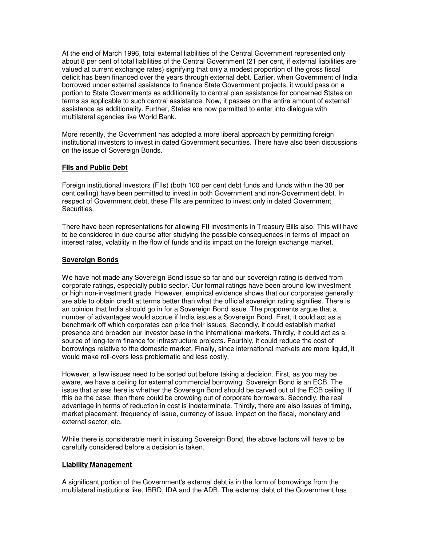At the end of March 1996, total external liabilities of the Central Government represented only about 8 per cent of total liabilities of the Central Government (21 per cent, if external liabilities are valued at current exchange rates) signifying that only a modest proportion of the gross fiscal deficit has been financed over the years through external debt. Earlier, when Government of India borrowed under external assistance to finance State Government projects, it would pass on a portion to State Governments as additionality to central plan assistance for concerned States on terms as applicable to such central assistance. Now, it passes on the entire amount of external assistance as additionality. Further, States are now permitted to enter into dialogue with multilateral agencies like World Bank.

More recently, the Government has adopted a more liberal approach by permitting foreign institutional investors to invest in dated Government securities. There have also been discussions on the issue of Sovereign Bonds.

# **FIIs and Public Debt**

Foreign institutional investors (FIIs) (both 100 per cent debt funds and funds within the 30 per cent ceiling) have been permitted to invest in both Government and non-Government debt. In respect of Government debt, these FIIs are permitted to invest only in dated Government Securities.

There have been representations for allowing FII investments in Treasury Bills also. This will have to be considered in due course after studying the possible consequences in terms of impact on interest rates, volatility in the flow of funds and its impact on the foreign exchange market.

# **Sovereign Bonds**

We have not made any Sovereign Bond issue so far and our sovereign rating is derived from corporate ratings, especially public sector. Our formal ratings have been around low investment or high non-investment grade. However, empirical evidence shows that our corporates generally are able to obtain credit at terms better than what the official sovereign rating signifies. There is an opinion that India should go in for a Sovereign Bond issue. The proponents argue that a number of advantages would accrue if India issues a Sovereign Bond. First, it could act as a benchmark off which corporates can price their issues. Secondly, it could establish market presence and broaden our investor base in the international markets. Thirdly, it could act as a source of long-term finance for infrastructure projects. Fourthly, it could reduce the cost of borrowings relative to the domestic market. Finally, since international markets are more liquid, it would make roll-overs less problematic and less costly.

However, a few issues need to be sorted out before taking a decision. First, as you may be aware, we have a ceiling for external commercial borrowing. Sovereign Bond is an ECB. The issue that arises here is whether the Sovereign Bond should be carved out of the ECB ceiling. If this be the case, then there could be crowding out of corporate borrowers. Secondly, the real advantage in terms of reduction in cost is indeterminate. Thirdly, there are also issues of timing, market placement, frequency of issue, currency of issue, impact on the fiscal, monetary and external sector, etc.

While there is considerable merit in issuing Sovereign Bond, the above factors will have to be carefully considered before a decision is taken.

#### **Liability Management**

A significant portion of the Government's external debt is in the form of borrowings from the multilateral institutions like, IBRD, IDA and the ADB. The external debt of the Government has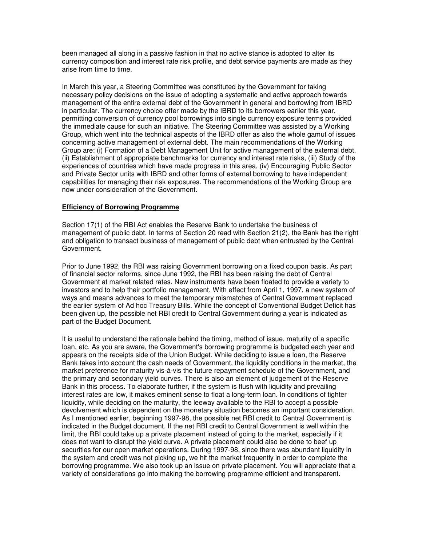been managed all along in a passive fashion in that no active stance is adopted to alter its currency composition and interest rate risk profile, and debt service payments are made as they arise from time to time.

In March this year, a Steering Committee was constituted by the Government for taking necessary policy decisions on the issue of adopting a systematic and active approach towards management of the entire external debt of the Government in general and borrowing from IBRD in particular. The currency choice offer made by the IBRD to its borrowers earlier this year, permitting conversion of currency pool borrowings into single currency exposure terms provided the immediate cause for such an initiative. The Steering Committee was assisted by a Working Group, which went into the technical aspects of the IBRD offer as also the whole gamut of issues concerning active management of external debt. The main recommendations of the Working Group are: (i) Formation of a Debt Management Unit for active management of the external debt, (ii) Establishment of appropriate benchmarks for currency and interest rate risks, (iii) Study of the experiences of countries which have made progress in this area, (iv) Encouraging Public Sector and Private Sector units with IBRD and other forms of external borrowing to have independent capabilities for managing their risk exposures. The recommendations of the Working Group are now under consideration of the Government.

#### **Efficiency of Borrowing Programme**

Section 17(1) of the RBI Act enables the Reserve Bank to undertake the business of management of public debt. In terms of Section 20 read with Section 21(2), the Bank has the right and obligation to transact business of management of public debt when entrusted by the Central Government.

Prior to June 1992, the RBI was raising Government borrowing on a fixed coupon basis. As part of financial sector reforms, since June 1992, the RBI has been raising the debt of Central Government at market related rates. New instruments have been floated to provide a variety to investors and to help their portfolio management. With effect from April 1, 1997, a new system of ways and means advances to meet the temporary mismatches of Central Government replaced the earlier system of Ad hoc Treasury Bills. While the concept of Conventional Budget Deficit has been given up, the possible net RBI credit to Central Government during a year is indicated as part of the Budget Document.

It is useful to understand the rationale behind the timing, method of issue, maturity of a specific loan, etc. As you are aware, the Government's borrowing programme is budgeted each year and appears on the receipts side of the Union Budget. While deciding to issue a loan, the Reserve Bank takes into account the cash needs of Government, the liquidity conditions in the market, the market preference for maturity vis-à-vis the future repayment schedule of the Government, and the primary and secondary yield curves. There is also an element of judgement of the Reserve Bank in this process. To elaborate further, if the system is flush with liquidity and prevailing interest rates are low, it makes eminent sense to float a long-term loan. In conditions of tighter liquidity, while deciding on the maturity, the leeway available to the RBI to accept a possible devolvement which is dependent on the monetary situation becomes an important consideration. As I mentioned earlier, beginning 1997-98, the possible net RBI credit to Central Government is indicated in the Budget document. If the net RBI credit to Central Government is well within the limit, the RBI could take up a private placement instead of going to the market, especially if it does not want to disrupt the yield curve. A private placement could also be done to beef up securities for our open market operations. During 1997-98, since there was abundant liquidity in the system and credit was not picking up, we hit the market frequently in order to complete the borrowing programme. We also took up an issue on private placement. You will appreciate that a variety of considerations go into making the borrowing programme efficient and transparent.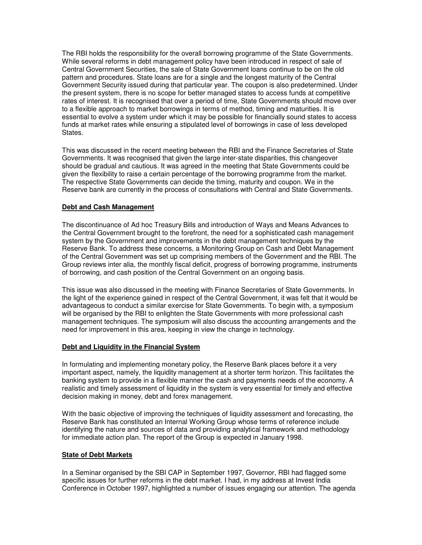The RBI holds the responsibility for the overall borrowing programme of the State Governments. While several reforms in debt management policy have been introduced in respect of sale of Central Government Securities, the sale of State Government loans continue to be on the old pattern and procedures. State loans are for a single and the longest maturity of the Central Government Security issued during that particular year. The coupon is also predetermined. Under the present system, there is no scope for better managed states to access funds at competitive rates of interest. It is recognised that over a period of time, State Governments should move over to a flexible approach to market borrowings in terms of method, timing and maturities. It is essential to evolve a system under which it may be possible for financially sound states to access funds at market rates while ensuring a stipulated level of borrowings in case of less developed States.

This was discussed in the recent meeting between the RBI and the Finance Secretaries of State Governments. It was recognised that given the large inter-state disparities, this changeover should be gradual and cautious. It was agreed in the meeting that State Governments could be given the flexibility to raise a certain percentage of the borrowing programme from the market. The respective State Governments can decide the timing, maturity and coupon. We in the Reserve bank are currently in the process of consultations with Central and State Governments.

# **Debt and Cash Management**

The discontinuance of Ad hoc Treasury Bills and introduction of Ways and Means Advances to the Central Government brought to the forefront, the need for a sophisticated cash management system by the Government and improvements in the debt management techniques by the Reserve Bank. To address these concerns, a Monitoring Group on Cash and Debt Management of the Central Government was set up comprising members of the Government and the RBI. The Group reviews inter alia, the monthly fiscal deficit, progress of borrowing programme, instruments of borrowing, and cash position of the Central Government on an ongoing basis.

This issue was also discussed in the meeting with Finance Secretaries of State Governments. In the light of the experience gained in respect of the Central Government, it was felt that it would be advantageous to conduct a similar exercise for State Governments. To begin with, a symposium will be organised by the RBI to enlighten the State Governments with more professional cash management techniques. The symposium will also discuss the accounting arrangements and the need for improvement in this area, keeping in view the change in technology.

#### **Debt and Liquidity in the Financial System**

In formulating and implementing monetary policy, the Reserve Bank places before it a very important aspect, namely, the liquidity management at a shorter term horizon. This facilitates the banking system to provide in a flexible manner the cash and payments needs of the economy. A realistic and timely assessment of liquidity in the system is very essential for timely and effective decision making in money, debt and forex management.

With the basic objective of improving the techniques of liquidity assessment and forecasting, the Reserve Bank has constituted an Internal Working Group whose terms of reference include identifying the nature and sources of data and providing analytical framework and methodology for immediate action plan. The report of the Group is expected in January 1998.

#### **State of Debt Markets**

In a Seminar organised by the SBI CAP in September 1997, Governor, RBI had flagged some specific issues for further reforms in the debt market. I had, in my address at Invest India Conference in October 1997, highlighted a number of issues engaging our attention. The agenda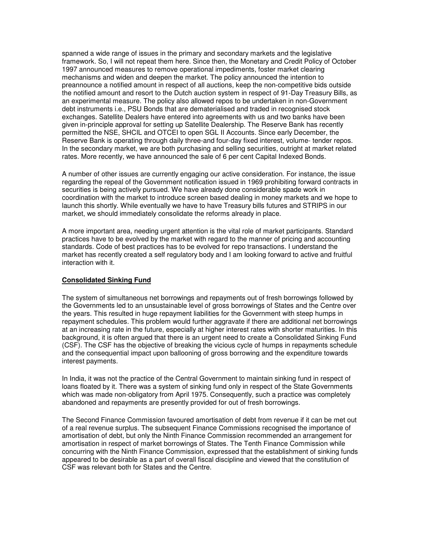spanned a wide range of issues in the primary and secondary markets and the legislative framework. So, I will not repeat them here. Since then, the Monetary and Credit Policy of October 1997 announced measures to remove operational impediments, foster market clearing mechanisms and widen and deepen the market. The policy announced the intention to preannounce a notified amount in respect of all auctions, keep the non-competitive bids outside the notified amount and resort to the Dutch auction system in respect of 91-Day Treasury Bills, as an experimental measure. The policy also allowed repos to be undertaken in non-Government debt instruments i.e., PSU Bonds that are dematerialised and traded in recognised stock exchanges. Satellite Dealers have entered into agreements with us and two banks have been given in-principle approval for setting up Satellite Dealership. The Reserve Bank has recently permitted the NSE, SHCIL and OTCEI to open SGL II Accounts. Since early December, the Reserve Bank is operating through daily three-and four-day fixed interest, volume- tender repos. In the secondary market, we are both purchasing and selling securities, outright at market related rates. More recently, we have announced the sale of 6 per cent Capital Indexed Bonds.

A number of other issues are currently engaging our active consideration. For instance, the issue regarding the repeal of the Government notification issued in 1969 prohibiting forward contracts in securities is being actively pursued. We have already done considerable spade work in coordination with the market to introduce screen based dealing in money markets and we hope to launch this shortly. While eventually we have to have Treasury bills futures and STRIPS in our market, we should immediately consolidate the reforms already in place.

A more important area, needing urgent attention is the vital role of market participants. Standard practices have to be evolved by the market with regard to the manner of pricing and accounting standards. Code of best practices has to be evolved for repo transactions. I understand the market has recently created a self regulatory body and I am looking forward to active and fruitful interaction with it.

#### **Consolidated Sinking Fund**

The system of simultaneous net borrowings and repayments out of fresh borrowings followed by the Governments led to an unsustainable level of gross borrowings of States and the Centre over the years. This resulted in huge repayment liabilities for the Government with steep humps in repayment schedules. This problem would further aggravate if there are additional net borrowings at an increasing rate in the future, especially at higher interest rates with shorter maturities. In this background, it is often argued that there is an urgent need to create a Consolidated Sinking Fund (CSF). The CSF has the objective of breaking the vicious cycle of humps in repayments schedule and the consequential impact upon ballooning of gross borrowing and the expenditure towards interest payments.

In India, it was not the practice of the Central Government to maintain sinking fund in respect of loans floated by it. There was a system of sinking fund only in respect of the State Governments which was made non-obligatory from April 1975. Consequently, such a practice was completely abandoned and repayments are presently provided for out of fresh borrowings.

The Second Finance Commission favoured amortisation of debt from revenue if it can be met out of a real revenue surplus. The subsequent Finance Commissions recognised the importance of amortisation of debt, but only the Ninth Finance Commission recommended an arrangement for amortisation in respect of market borrowings of States. The Tenth Finance Commission while concurring with the Ninth Finance Commission, expressed that the establishment of sinking funds appeared to be desirable as a part of overall fiscal discipline and viewed that the constitution of CSF was relevant both for States and the Centre.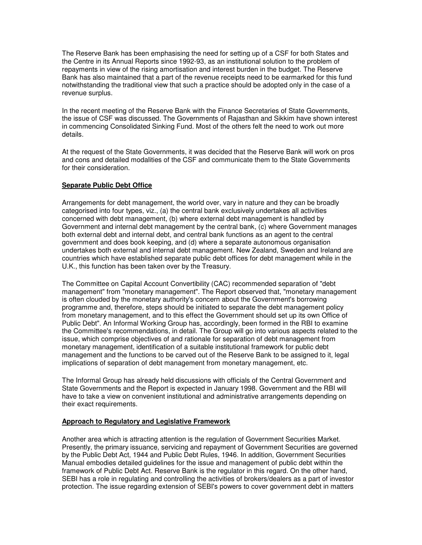The Reserve Bank has been emphasising the need for setting up of a CSF for both States and the Centre in its Annual Reports since 1992-93, as an institutional solution to the problem of repayments in view of the rising amortisation and interest burden in the budget. The Reserve Bank has also maintained that a part of the revenue receipts need to be earmarked for this fund notwithstanding the traditional view that such a practice should be adopted only in the case of a revenue surplus.

In the recent meeting of the Reserve Bank with the Finance Secretaries of State Governments, the issue of CSF was discussed. The Governments of Rajasthan and Sikkim have shown interest in commencing Consolidated Sinking Fund. Most of the others felt the need to work out more details.

At the request of the State Governments, it was decided that the Reserve Bank will work on pros and cons and detailed modalities of the CSF and communicate them to the State Governments for their consideration.

# **Separate Public Debt Office**

Arrangements for debt management, the world over, vary in nature and they can be broadly categorised into four types, viz., (a) the central bank exclusively undertakes all activities concerned with debt management, (b) where external debt management is handled by Government and internal debt management by the central bank, (c) where Government manages both external debt and internal debt, and central bank functions as an agent to the central government and does book keeping, and (d) where a separate autonomous organisation undertakes both external and internal debt management. New Zealand, Sweden and Ireland are countries which have established separate public debt offices for debt management while in the U.K., this function has been taken over by the Treasury.

The Committee on Capital Account Convertibility (CAC) recommended separation of "debt management" from "monetary management". The Report observed that, "monetary management is often clouded by the monetary authority's concern about the Government's borrowing programme and, therefore, steps should be initiated to separate the debt management policy from monetary management, and to this effect the Government should set up its own Office of Public Debt". An Informal Working Group has, accordingly, been formed in the RBI to examine the Committee's recommendations, in detail. The Group will go into various aspects related to the issue, which comprise objectives of and rationale for separation of debt management from monetary management, identification of a suitable institutional framework for public debt management and the functions to be carved out of the Reserve Bank to be assigned to it, legal implications of separation of debt management from monetary management, etc.

The Informal Group has already held discussions with officials of the Central Government and State Governments and the Report is expected in January 1998. Government and the RBI will have to take a view on convenient institutional and administrative arrangements depending on their exact requirements.

#### **Approach to Regulatory and Legislative Framework**

Another area which is attracting attention is the regulation of Government Securities Market. Presently, the primary issuance, servicing and repayment of Government Securities are governed by the Public Debt Act, 1944 and Public Debt Rules, 1946. In addition, Government Securities Manual embodies detailed guidelines for the issue and management of public debt within the framework of Public Debt Act. Reserve Bank is the regulator in this regard. On the other hand, SEBI has a role in regulating and controlling the activities of brokers/dealers as a part of investor protection. The issue regarding extension of SEBI's powers to cover government debt in matters